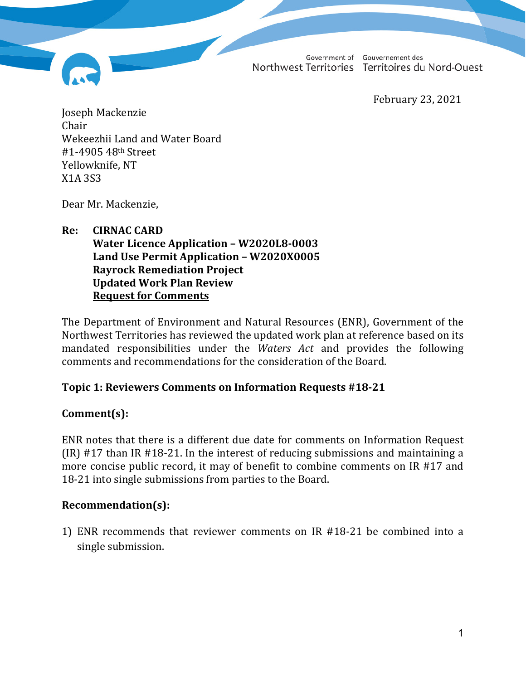Government of Gouvernement des Northwest Territories Territoires du Nord-Ouest

February 23, 2021

Joseph Mackenzie Chair Wekeezhii Land and Water Board #1-4905 48th Street Yellowknife, NT X1A 3S3

Dear Mr. Mackenzie,

# **Re: CIRNAC CARD Water Licence Application – W2020L8-0003 Land Use Permit Application – W2020X0005**

**Rayrock Remediation Project Updated Work Plan Review Request for Comments**

The Department of Environment and Natural Resources (ENR), Government of the Northwest Territories has reviewed the updated work plan at reference based on its mandated responsibilities under the *Waters Act* and provides the following comments and recommendations for the consideration of the Board.

### **Topic 1: Reviewers Comments on Information Requests #18-21**

### **Comment(s):**

ENR notes that there is a different due date for comments on Information Request (IR) #17 than IR #18-21. In the interest of reducing submissions and maintaining a more concise public record, it may of benefit to combine comments on IR #17 and 18-21 into single submissions from parties to the Board.

### **Recommendation(s):**

1) ENR recommends that reviewer comments on IR #18-21 be combined into a single submission.